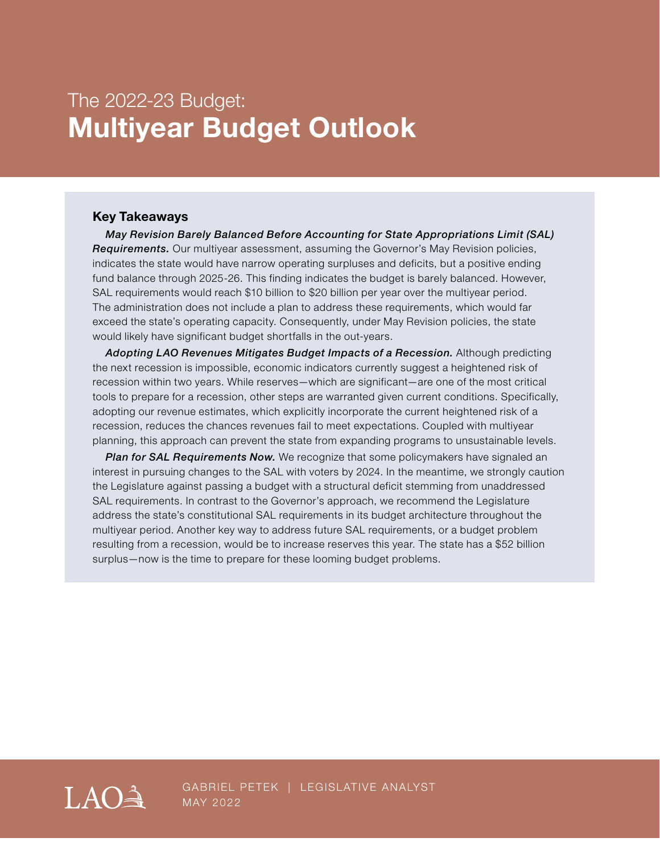# The 2022-23 Budget: **Multiyear Budget Outlook**

## **Key Takeaways**

*May Revision Barely Balanced Before Accounting for State Appropriations Limit (SAL) Requirements.* Our multiyear assessment, assuming the Governor's May Revision policies, indicates the state would have narrow operating surpluses and deficits, but a positive ending fund balance through 2025-26. This finding indicates the budget is barely balanced. However, SAL requirements would reach \$10 billion to \$20 billion per year over the multiyear period. The administration does not include a plan to address these requirements, which would far exceed the state's operating capacity. Consequently, under May Revision policies, the state would likely have significant budget shortfalls in the out-years.

*Adopting LAO Revenues Mitigates Budget Impacts of a Recession.* Although predicting the next recession is impossible, economic indicators currently suggest a heightened risk of recession within two years. While reserves—which are significant—are one of the most critical tools to prepare for a recession, other steps are warranted given current conditions. Specifically, adopting our revenue estimates, which explicitly incorporate the current heightened risk of a recession, reduces the chances revenues fail to meet expectations. Coupled with multiyear planning, this approach can prevent the state from expanding programs to unsustainable levels.

**Plan for SAL Requirements Now.** We recognize that some policymakers have signaled an interest in pursuing changes to the SAL with voters by 2024. In the meantime, we strongly caution the Legislature against passing a budget with a structural deficit stemming from unaddressed SAL requirements. In contrast to the Governor's approach, we recommend the Legislature address the state's constitutional SAL requirements in its budget architecture throughout the multiyear period. Another key way to address future SAL requirements, or a budget problem resulting from a recession, would be to increase reserves this year. The state has a \$52 billion surplus—now is the time to prepare for these looming budget problems.



GABRIEL PETEK | LEGISLATIVE ANALYST MAY 2022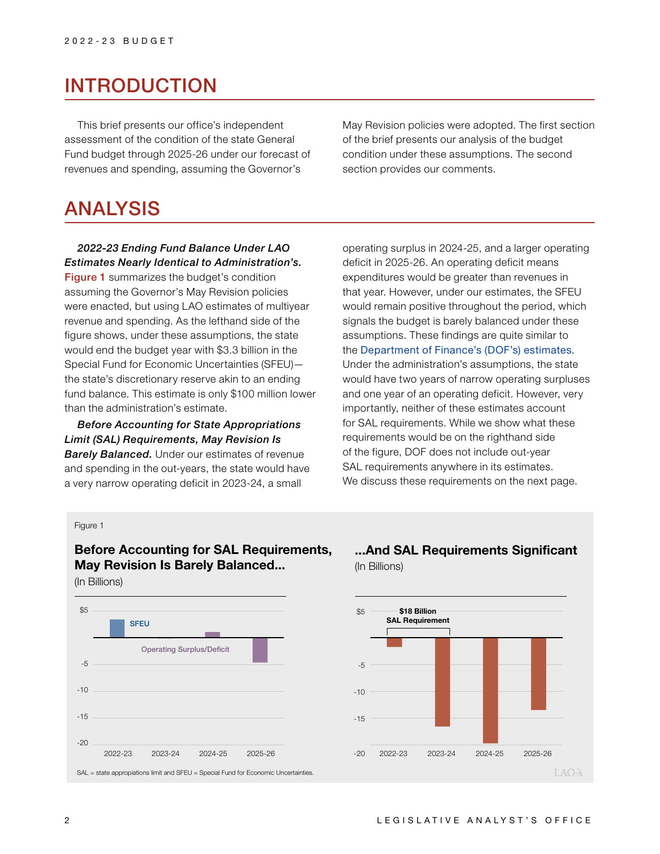# INTRODUCTION

This brief presents our office's independent assessment of the condition of the state General Fund budget through 2025-26 under our forecast of revenues and spending, assuming the Governor's

## ANALYSIS

*2022-23 Ending Fund Balance Under LAO Estimates Nearly Identical to Administration's.*

**Figure 1** summarizes the budget's condition assuming the Governor's May Revision policies were enacted, but using LAO estimates of multiyear revenue and spending. As the lefthand side of the figure shows, under these assumptions, the state would end the budget year with \$3.3 billion in the Special Fund for Economic Uncertainties (SFEU) the state's discretionary reserve akin to an ending fund balance. This estimate is only \$100 million lower than the administration's estimate.

*Before Accounting for State Appropriations Limit (SAL) Requirements, May Revision Is Barely Balanced.* Under our estimates of revenue and spending in the out-years, the state would have a very narrow operating deficit in 2023-24, a small

May Revision policies were adopted. The first section of the brief presents our analysis of the budget condition under these assumptions. The second section provides our comments.

operating surplus in 2024-25, and a larger operating deficit in 2025-26. An operating deficit means expenditures would be greater than revenues in that year. However, under our estimates, the SFEU would remain positive throughout the period, which signals the budget is barely balanced under these assumptions. These findings are quite similar to the [Department of Finance's \(DOF's\) estimates](https://www.ebudget.ca.gov/reference/MultiYearProjection.pdf). Under the administration's assumptions, the state would have two years of narrow operating surpluses and one year of an operating deficit. However, very importantly, neither of these estimates account for SAL requirements. While we show what these requirements would be on the righthand side of the figure, DOF does not include out-year SAL requirements anywhere in its estimates. We discuss these requirements on the next page.

Figure 1

## Before Accounting for SAL Requirements, May Revision Is Barely Balanced...





## ...And SAL Requirements Significant (In Billions)

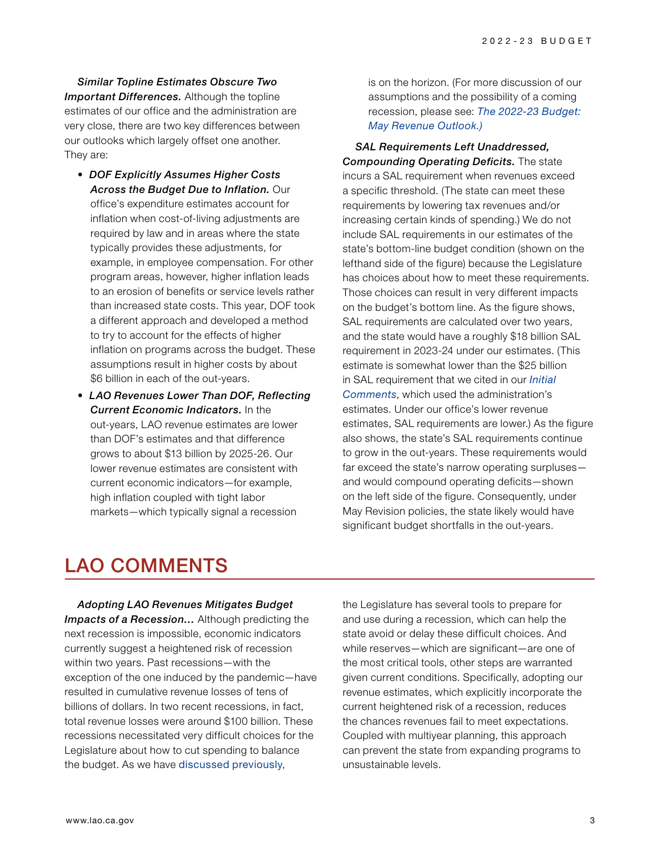*Similar Topline Estimates Obscure Two Important Differences.* Although the topline estimates of our office and the administration are very close, there are two key differences between our outlooks which largely offset one another. They are:

- *DOF Explicitly Assumes Higher Costs Across the Budget Due to Inflation.* Our office's expenditure estimates account for inflation when cost-of-living adjustments are required by law and in areas where the state typically provides these adjustments, for example, in employee compensation. For other program areas, however, higher inflation leads to an erosion of benefits or service levels rather than increased state costs. This year, DOF took a different approach and developed a method to try to account for the effects of higher inflation on programs across the budget. These assumptions result in higher costs by about \$6 billion in each of the out-years.
- *LAO Revenues Lower Than DOF, Reflecting Current Economic Indicators.* In the out-years, LAO revenue estimates are lower than DOF's estimates and that difference grows to about \$13 billion by 2025-26. Our lower revenue estimates are consistent with current economic indicators—for example, high inflation coupled with tight labor markets—which typically signal a recession

is on the horizon. (For more discussion of our assumptions and the possibility of a coming recession, please see: *[The 2022-23 Budget:](https://lao.ca.gov/LAOEconTax/Article/Detail/735)  [May Revenue Outlook.\)](https://lao.ca.gov/LAOEconTax/Article/Detail/735)*

*SAL Requirements Left Unaddressed, Compounding Operating Deficits.* The state incurs a SAL requirement when revenues exceed a specific threshold. (The state can meet these requirements by lowering tax revenues and/or increasing certain kinds of spending.) We do not include SAL requirements in our estimates of the state's bottom-line budget condition (shown on the lefthand side of the figure) because the Legislature has choices about how to meet these requirements. Those choices can result in very different impacts on the budget's bottom line. As the figure shows, SAL requirements are calculated over two years, and the state would have a roughly \$18 billion SAL requirement in 2023-24 under our estimates. (This estimate is somewhat lower than the \$25 billion in SAL requirement that we cited in our *[Initial](https://lao.ca.gov/Publications/Report/4598)  [Comments](https://lao.ca.gov/Publications/Report/4598)*, which used the administration's estimates. Under our office's lower revenue estimates, SAL requirements are lower.) As the figure also shows, the state's SAL requirements continue to grow in the out-years. These requirements would far exceed the state's narrow operating surpluses and would compound operating deficits—shown on the left side of the figure. Consequently, under May Revision policies, the state likely would have significant budget shortfalls in the out-years.

# LAO COMMENTS

*Adopting LAO Revenues Mitigates Budget*  **Impacts of a Recession...** Although predicting the next recession is impossible, economic indicators currently suggest a heightened risk of recession within two years. Past recessions—with the exception of the one induced by the pandemic—have resulted in cumulative revenue losses of tens of billions of dollars. In two recent recessions, in fact, total revenue losses were around \$100 billion. These recessions necessitated very difficult choices for the Legislature about how to cut spending to balance the budget. As we have [discussed previously](https://lao.ca.gov/Publications/Report/3769),

the Legislature has several tools to prepare for and use during a recession, which can help the state avoid or delay these difficult choices. And while reserves—which are significant—are one of the most critical tools, other steps are warranted given current conditions. Specifically, adopting our revenue estimates, which explicitly incorporate the current heightened risk of a recession, reduces the chances revenues fail to meet expectations. Coupled with multiyear planning, this approach can prevent the state from expanding programs to unsustainable levels.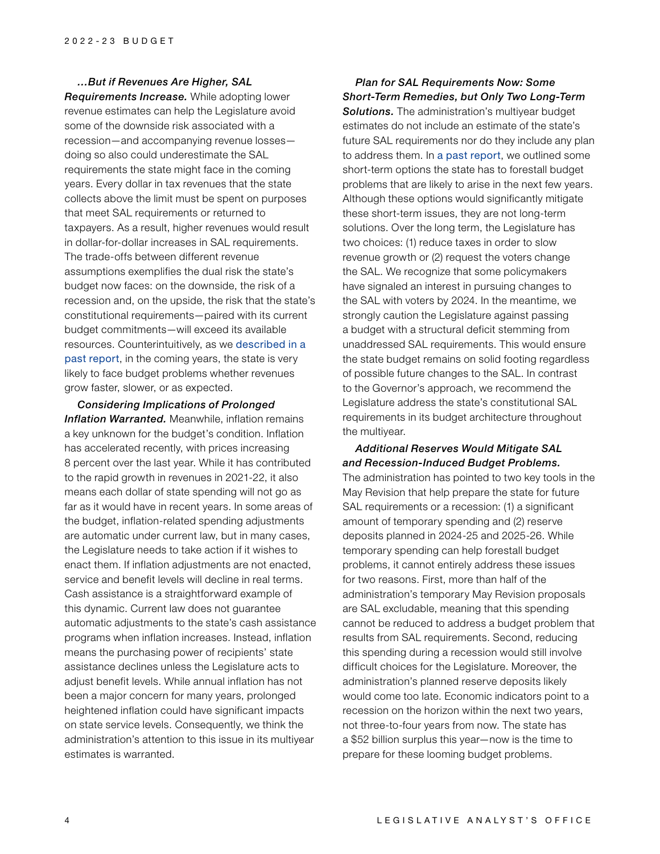### *…But if Revenues Are Higher, SAL*

*Requirements Increase.* While adopting lower revenue estimates can help the Legislature avoid some of the downside risk associated with a recession—and accompanying revenue losses doing so also could underestimate the SAL requirements the state might face in the coming years. Every dollar in tax revenues that the state collects above the limit must be spent on purposes that meet SAL requirements or returned to taxpayers. As a result, higher revenues would result in dollar-for-dollar increases in SAL requirements. The trade-offs between different revenue assumptions exemplifies the dual risk the state's budget now faces: on the downside, the risk of a recession and, on the upside, the risk that the state's constitutional requirements—paired with its current budget commitments—will exceed its available resources. Counterintuitively, as we [described in a](https://lao.ca.gov/Publications/Report/4583)  [past report](https://lao.ca.gov/Publications/Report/4583), in the coming years, the state is very likely to face budget problems whether revenues grow faster, slower, or as expected.

*Considering Implications of Prolonged Inflation Warranted.* Meanwhile, inflation remains a key unknown for the budget's condition. Inflation has accelerated recently, with prices increasing 8 percent over the last year. While it has contributed to the rapid growth in revenues in 2021-22, it also means each dollar of state spending will not go as far as it would have in recent years. In some areas of the budget, inflation-related spending adjustments are automatic under current law, but in many cases, the Legislature needs to take action if it wishes to enact them. If inflation adjustments are not enacted, service and benefit levels will decline in real terms. Cash assistance is a straightforward example of this dynamic. Current law does not guarantee automatic adjustments to the state's cash assistance programs when inflation increases. Instead, inflation means the purchasing power of recipients' state assistance declines unless the Legislature acts to adjust benefit levels. While annual inflation has not been a major concern for many years, prolonged heightened inflation could have significant impacts on state service levels. Consequently, we think the administration's attention to this issue in its multiyear estimates is warranted.

*Plan for SAL Requirements Now: Some Short-Term Remedies, but Only Two Long-Term*  **Solutions.** The administration's multivear budget estimates do not include an estimate of the state's future SAL requirements nor do they include any plan to address them. In [a past report](https://lao.ca.gov/Publications/Report/4583), we outlined some short-term options the state has to forestall budget problems that are likely to arise in the next few years. Although these options would significantly mitigate these short-term issues, they are not long-term solutions. Over the long term, the Legislature has two choices: (1) reduce taxes in order to slow revenue growth or (2) request the voters change the SAL. We recognize that some policymakers have signaled an interest in pursuing changes to the SAL with voters by 2024. In the meantime, we strongly caution the Legislature against passing a budget with a structural deficit stemming from unaddressed SAL requirements. This would ensure the state budget remains on solid footing regardless of possible future changes to the SAL. In contrast to the Governor's approach, we recommend the Legislature address the state's constitutional SAL requirements in its budget architecture throughout the multiyear.

*Additional Reserves Would Mitigate SAL and Recession-Induced Budget Problems.*  The administration has pointed to two key tools in the May Revision that help prepare the state for future SAL requirements or a recession: (1) a significant amount of temporary spending and (2) reserve deposits planned in 2024-25 and 2025-26. While temporary spending can help forestall budget problems, it cannot entirely address these issues for two reasons. First, more than half of the administration's temporary May Revision proposals are SAL excludable, meaning that this spending cannot be reduced to address a budget problem that results from SAL requirements. Second, reducing this spending during a recession would still involve difficult choices for the Legislature. Moreover, the administration's planned reserve deposits likely would come too late. Economic indicators point to a recession on the horizon within the next two years, not three-to-four years from now. The state has a \$52 billion surplus this year—now is the time to prepare for these looming budget problems.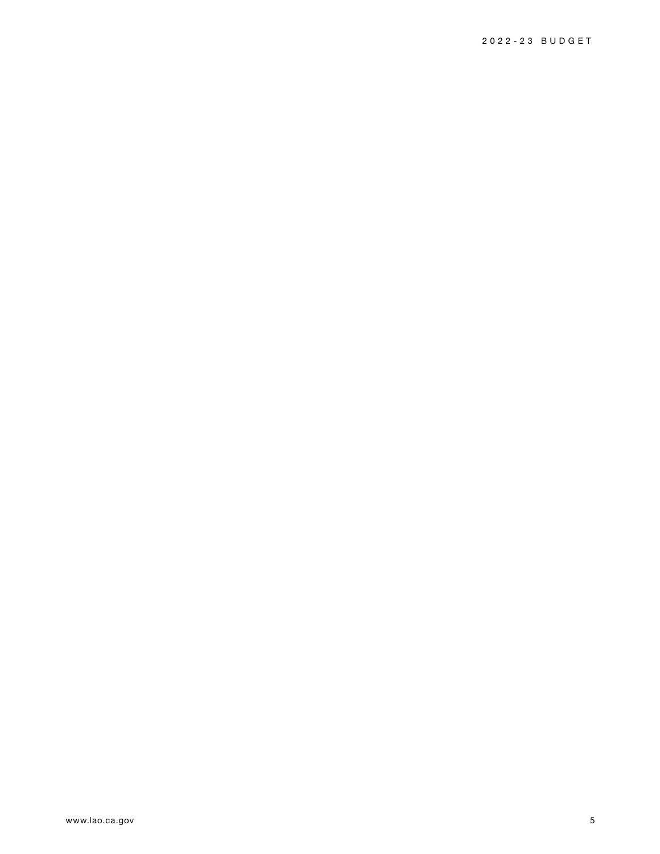## 2022-23 BUDGET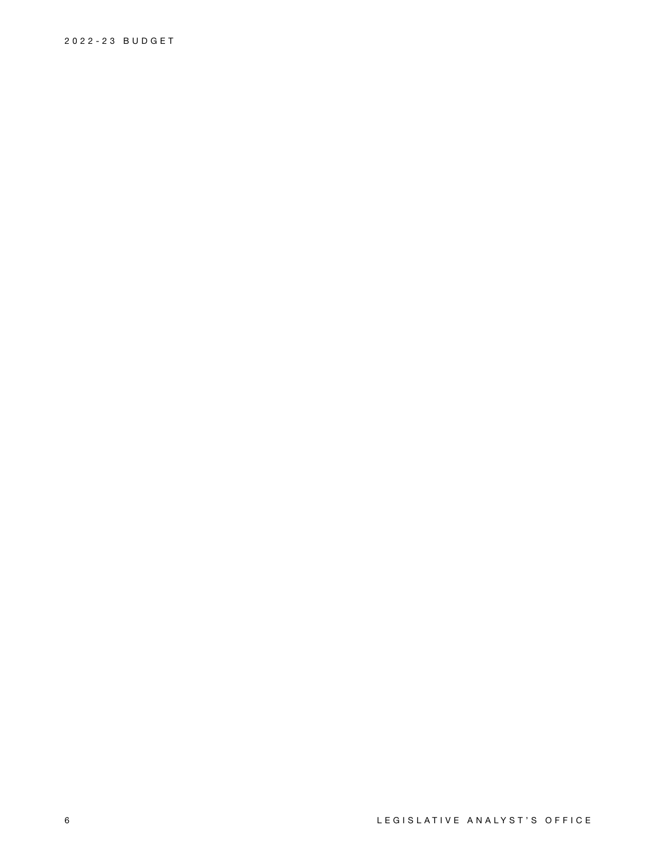2022-23 BUDGET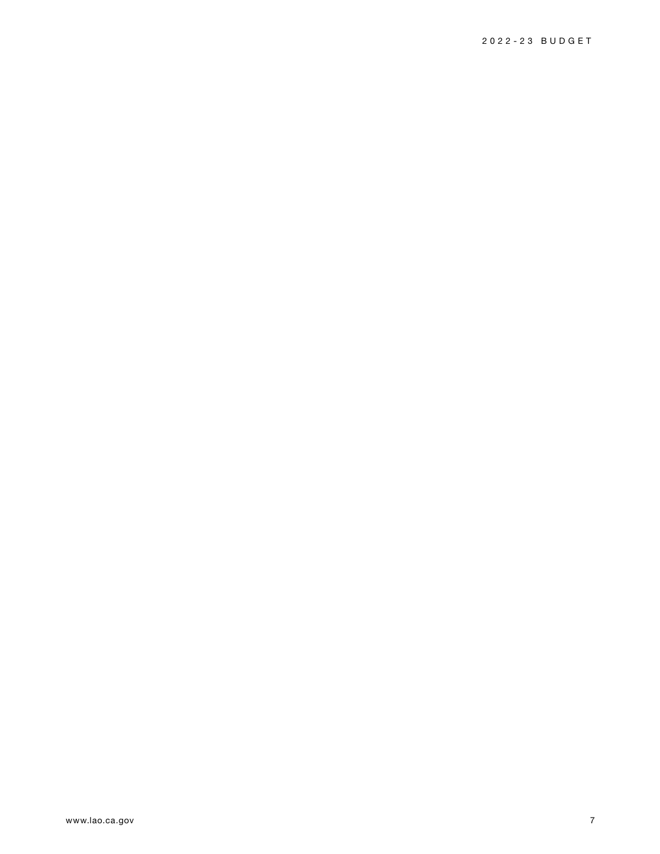## 2022-23 BUDGET